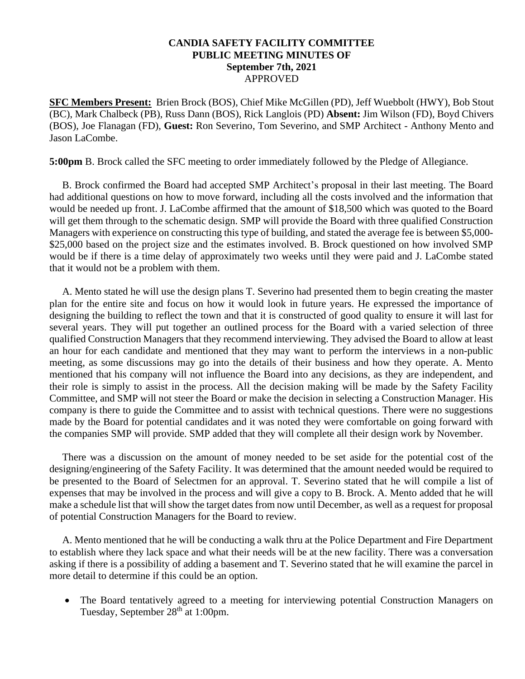## **CANDIA SAFETY FACILITY COMMITTEE PUBLIC MEETING MINUTES OF September 7th, 2021** APPROVED

**SFC Members Present:** Brien Brock (BOS), Chief Mike McGillen (PD), Jeff Wuebbolt (HWY), Bob Stout (BC), Mark Chalbeck (PB), Russ Dann (BOS), Rick Langlois (PD) **Absent:** Jim Wilson (FD), Boyd Chivers (BOS), Joe Flanagan (FD), **Guest:** Ron Severino, Tom Severino, and SMP Architect - Anthony Mento and Jason LaCombe.

**5:00pm** B. Brock called the SFC meeting to order immediately followed by the Pledge of Allegiance.

 B. Brock confirmed the Board had accepted SMP Architect's proposal in their last meeting. The Board had additional questions on how to move forward, including all the costs involved and the information that would be needed up front. J. LaCombe affirmed that the amount of \$18,500 which was quoted to the Board will get them through to the schematic design. SMP will provide the Board with three qualified Construction Managers with experience on constructing this type of building, and stated the average fee is between \$5,000- \$25,000 based on the project size and the estimates involved. B. Brock questioned on how involved SMP would be if there is a time delay of approximately two weeks until they were paid and J. LaCombe stated that it would not be a problem with them.

 A. Mento stated he will use the design plans T. Severino had presented them to begin creating the master plan for the entire site and focus on how it would look in future years. He expressed the importance of designing the building to reflect the town and that it is constructed of good quality to ensure it will last for several years. They will put together an outlined process for the Board with a varied selection of three qualified Construction Managers that they recommend interviewing. They advised the Board to allow at least an hour for each candidate and mentioned that they may want to perform the interviews in a non-public meeting, as some discussions may go into the details of their business and how they operate. A. Mento mentioned that his company will not influence the Board into any decisions, as they are independent, and their role is simply to assist in the process. All the decision making will be made by the Safety Facility Committee, and SMP will not steer the Board or make the decision in selecting a Construction Manager. His company is there to guide the Committee and to assist with technical questions. There were no suggestions made by the Board for potential candidates and it was noted they were comfortable on going forward with the companies SMP will provide. SMP added that they will complete all their design work by November.

 There was a discussion on the amount of money needed to be set aside for the potential cost of the designing/engineering of the Safety Facility. It was determined that the amount needed would be required to be presented to the Board of Selectmen for an approval. T. Severino stated that he will compile a list of expenses that may be involved in the process and will give a copy to B. Brock. A. Mento added that he will make a schedule list that will show the target dates from now until December, as well as a request for proposal of potential Construction Managers for the Board to review.

 A. Mento mentioned that he will be conducting a walk thru at the Police Department and Fire Department to establish where they lack space and what their needs will be at the new facility. There was a conversation asking if there is a possibility of adding a basement and T. Severino stated that he will examine the parcel in more detail to determine if this could be an option.

• The Board tentatively agreed to a meeting for interviewing potential Construction Managers on Tuesday, September 28<sup>th</sup> at 1:00pm.